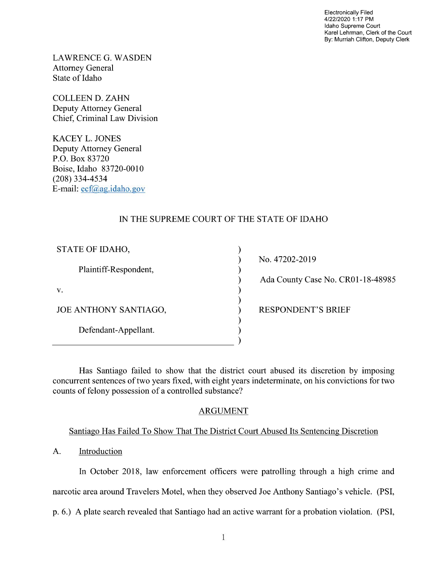Electronically Filed 4/22/2020 1:17 PM Idaho Supreme Court Karel Lehrman, Clerk of the Court By: Murriah Clifton, Deputy Clerk

LAWRENCE G. WASDEN Attorney General State of Idaho

COLLEEN D. ZAHN Deputy Attorney General Chief, Criminal Law Division

KACEY L. JONES Deputy Attorney General P.O. Box 83720 Boise, Idaho 83720-00 (208) 334—4534 E—mail: ecf@ag.idaho.g0v

# IN THE SUPREME COURT OF THE STATE OF IDAHO

€  $\lambda$ 

ſ

| STATE OF IDAHO,       |
|-----------------------|
| Plaintiff-Respondent, |
| V.                    |
| JOE ANTHONY SANTIAGO, |
| Defendant-Appellant.  |

No. 47202-2019 Ada County Case No. CR01-18-48985

RESPONDENT'S BRIEF

Has Santiago failed to show that the district court abused its discretion by imposing concurrent sentences 0f two years fixed, with eight years indeterminate, on his convictions for two counts of felony possession of a controlled substance?

#### ARGUMENT

## Santiago Has Failed T0 Show That The District Court Abused Its Sentencing Discretion

A. Introduction

In October 2018, law enforcement officers were patrolling through a high crime and narcotic area around Travelers Motel, when they observed Joe Anthony Santiago's vehicle. (PSI,

p. 6.) A plate search revealed that Santiago had an active warrant for a probation violation. (PSI,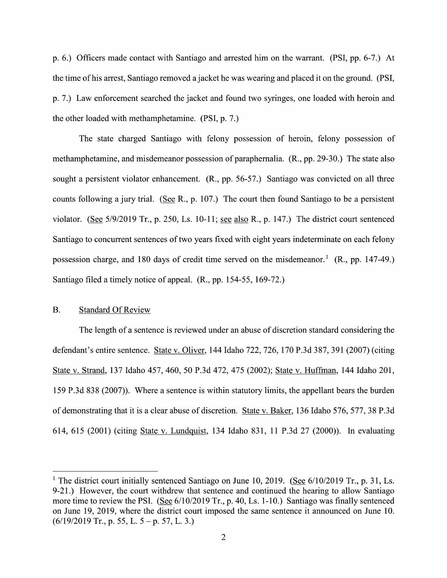p. 6.) Officers made contact with Santiago and arrested him on the warrant. (PSI, pp. 6-7.) At the time of his arrest, Santiago removed a jacket he was wearing and placed it on the ground. (PSI, p. 7.) Law enforcement searched the jacket and found two syringes, one loaded With heroin and the other loaded with methamphetamine. (PSI, p. 7.)

The state charged Santiago With felony possession of heroin, felony possession of methamphetamine, and misdemeanor possession 0f paraphernalia. (R., pp. 29-30.) The state also sought a persistent violator enhancement. (R., pp. 56-57.) Santiago was convicted on all three counts following a jury trial. (See R., p. 107.) The court then found Santiago to be a persistent violator. (See  $5/9/2019$  Tr., p. 250, Ls. 10-11; see also R., p. 147.) The district court sentenced Santiago to concurrent sentences of two years fixed with eight years indeterminate on each felony possession charge, and 180 days of credit time served on the misdemeanor.<sup>1</sup> (R., pp. 147-49.) Santiago filed a timely notice of appeal.  $(R., pp. 154-55, 169-72.)$ 

#### B. Standard Of Review

The length of a sentence is reviewed under an abuse of discretion standard considering the defendant's entire sentence. State V. Oliver, <sup>144</sup> Idaho 722, 726, 170 P.3d 387, <sup>391</sup> (2007) (citing State V. Strand, <sup>137</sup> Idaho 457, 460, <sup>50</sup> P.3d 472, <sup>475</sup> (2002); State V. Huffman, <sup>144</sup> Idaho 201, 159 P.3d 838 (2007)). Where a sentence is within statutory limits, the appellant bears the burden of demonstrating that it is a clear abuse of discretion. State v. Baker, 136 Idaho 576, 577, 38 P.3d 614, 615 (2001) (citing State V. Lundquist, 134 Idaho 831, 11 P.3d 27 (2000)). In evaluating

<sup>&</sup>lt;sup>1</sup> The district court initially sentenced Santiago on June 10, 2019. (See  $6/10/2019$  Tr., p. 31, Ls. 9-21.) However, the court withdrew that sentence and continued the hearing to allow Santiago more time to review the PSI. (See 6/10/2019 Tr., p. 40, Ls. 1-10.) Santiago was finally sentenced on June 19, 2019, Where the district court imposed the same sentence it announced 0n June 10.  $(6/19/2019$  Tr., p. 55, L. 5 – p. 57, L. 3.)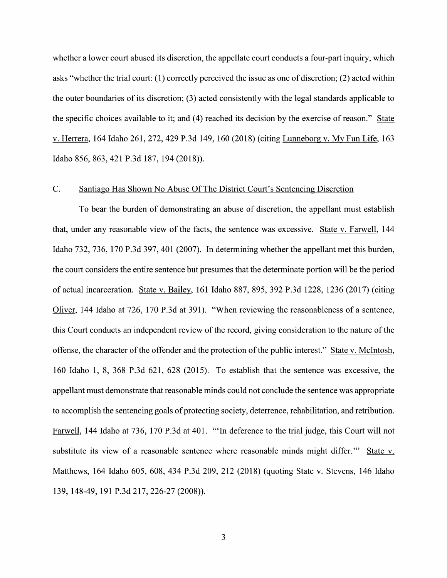whether a lower court abused its discretion, the appellate court conducts a four-part inquiry, which asks "Whether the trial court: (1) correctly perceived the issue as one of discretion; (2) acted within the outer boundaries 0f its discretion; (3) acted consistently With the legal standards applicable to the specific choices available to it; and (4) reached its decision by the exercise of reason." V. Herrera, <sup>164</sup> Idaho 261, 272, <sup>429</sup> P.3d 149, <sup>160</sup> (2018) (citing Lunneborg V. My Fun Life, <sup>163</sup> Idaho 856, 863, <sup>421</sup> P.3d 187, <sup>194</sup> (2018)).

### C. Santiago Has Shown No Abuse Of The District Court's Sentencing Discretion

To bear the burden of demonstrating an abuse of discretion, the appellant must establish that, under any reasonable view of the facts, the sentence was excessive. State v. Farwell, 144 Idaho 732, 736, 170 P.3d 397, 401 (2007). In determining whether the appellant met this burden, the court considers the entire sentence but presumes that the determinate portion will be the period of actual incarceration. State v. Bailey, 161 Idaho 887, 895, 392 P.3d 1228, 1236 (2017) (citing Oliver, 144 Idaho at 726, 170 P.3d at 391). "When reviewing the reasonableness of a sentence, this Court conducts an independent review of the record, giving consideration t0 the nature of the offense, the character of the offender and the protection of the public interest." State V. McIntosh, 160 Idaho 1, 8, 368 P.3d 621, 628 (2015). T0 establish that the sentence was excessive, the appellant must demonstrate that reasonable minds could not conclude the sentence was appropriate to accomplish the sentencing goals of protecting society, deterrence, rehabilitation, and retribution. Farwell, 144 Idaho at 736, 170 P.3d at 401. "'In deference to the trial judge, this Court will not substitute its view of a reasonable sentence where reasonable minds might differ." State v. Matthews, 164 Idaho 605, 608, 434 P.3d 209, 212 (2018) (quoting State V. Stevens, 146 Idaho 139, 148—49, 191 P.3d 217, 226-27 (2008)).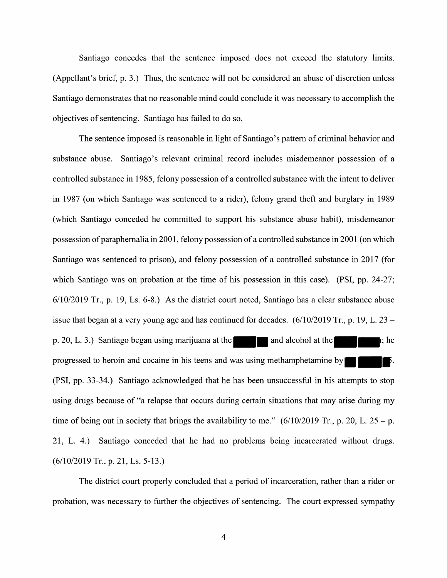Santiago concedes that the sentence imposed does not exceed the statutory limits. (Appellant's brief, p. 3.) Thus, the sentence Will not be considered an abuse of discretion unless Santiago demonstrates that no reasonable mind could conclude it was necessary to accomplish the objectives of sentencing. Santiago has failed t0 do so.

The sentence imposed is reasonable in light of Santiago's pattern of criminal behavior and substance abuse. Santiago's relevant criminal record includes misdemeanor possession of a controlled substance in 1985, felony possession of a controlled substance with the intent to deliver in 1987 (on which Santiago was sentenced to a rider), felony grand theft and burglary in 1989 (which Santiago conceded he committed to support his substance abuse habit), misdemeanor possession of paraphernalia in 2001, felony possession of a controlled substance in 2001 (on which Santiago was sentenced to prison), and felony possession of a controlled substance in 2017 (for which Santiago was on probation at the time of his possession in this case). (PSI, pp. 24-27; 6/10/2019 Tr., p. 19, Ls. 6-8.) As the district court noted, Santiago has clear substance abuse issue that began at a very young age and has continued for decades.  $(6/10/2019 \text{ Tr}., p. 19, L. 23$ p. 20, L. 3.) Santiago began using marijuana at the **and alcohol at the heating in the heating** i; he progressed to heroin and cocaine in his teens and was using methamphetamine by (PSI, pp. 33-34.) Santiago acknowledged that he has been unsuccessful in his attempts t0 stop using drugs because 0f "a relapse that occurs during certain situations that may arise during my time of being out in society that brings the availability to me."  $(6/10/2019 \text{ Tr.}, p. 20, L. 25 - p.$ 21, L. 4.) Santiago conceded that he had no problems being incarcerated without drugs. (6/10/2019 Tr., p. 21, Ls. 5-13.)

The district court properly concluded that a period of incarceration, rather than a rider or probation, was necessary to further the objectives of sentencing. The court expressed sympathy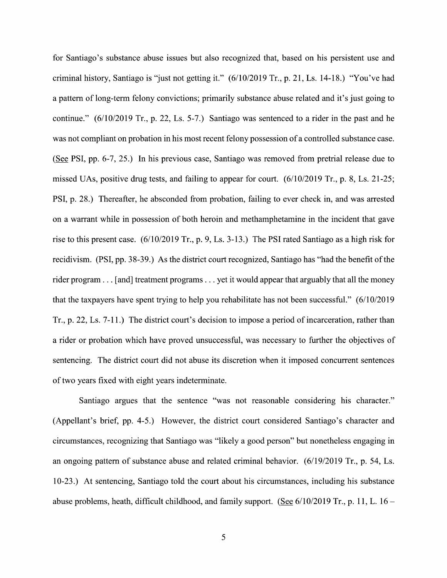for Santiago's substance abuse issues but also recognized that, based 0n his persistent use and criminal history, Santiago is "just not getting it." (6/10/2019 Tr., p. 21, Ls. 14-18.) "You've had a pattern of long-term felony convictions; primarily substance abuse related and it's just going to continue."  $(6/10/2019$  Tr., p. 22, Ls. 5-7.) Santiago was sentenced to a rider in the past and he was not compliant on probation in his most recent felony possession of a controlled substance case. (See PSI, pp.  $6-7$ ,  $25$ .) In his previous case, Santiago was removed from pretrial release due to missed UAS, positive drug tests, and failing to appear for court. {6/10/2019 Tr., p. 8, Ls. 21-25; PSI, p. 28.) Thereafter, he absconded from probation, failing to ever check in, and was arrested on warrant While in possession of both heroin and methamphetamine in the incident that gave rise to this present case.  $(6/10/2019 \text{ Tr}., p. 9, Ls. 3-13.)$  The PSI rated Santiago as a high risk for recidivism. (PSI, pp. 38-39.) As the district court recognized, Santiago has "had the benefit 0f the rider program  $\dots$  [and] treatment programs  $\dots$  yet it would appear that arguably that all the money that the taxpayers have spent trying to help you rehabilitate has not been successful."  $(6/10/2019$ Tr., p. 22, Ls.  $7-11$ .) The district court's decision to impose a period of incarceration, rather than a rider or probation which have proved unsuccessful, was necessary to further the objectives of sentencing. The district court did not abuse its discretion when it imposed concurrent sentences 0f two years fixed With eight years indeterminate.

Santiago argues that the sentence "was not reasonable considering his character." (Appellant's brief, pp. 4-5.) However, the district court considered Santiago's character and circumstances, recognizing that Santiago was "likely a good person" but nonetheless engaging in an ongoing pattern of substance abuse and related criminal behavior. (6/19/2019 Tr., p. 54, Ls. 10-23.) At sentencing, Santiago told the court about his circumstances, including his substance abuse problems, heath, difficult childhood, and family support. (See  $6/10/2019$  Tr., p. 11, L. 16 –